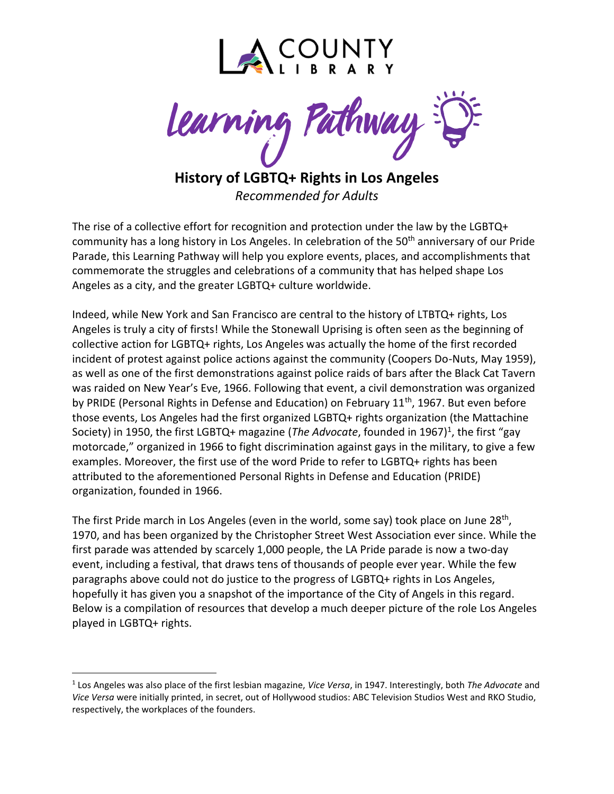

**History of LGBTQ+ Rights in Los Angeles**

*Recommended for Adults*

The rise of a collective effort for recognition and protection under the law by the LGBTQ+ community has a long history in Los Angeles. In celebration of the 50<sup>th</sup> anniversary of our Pride Parade, this Learning Pathway will help you explore events, places, and accomplishments that commemorate the struggles and celebrations of a community that has helped shape Los Angeles as a city, and the greater LGBTQ+ culture worldwide.

Indeed, while New York and San Francisco are central to the history of LTBTQ+ rights, Los Angeles is truly a city of firsts! While the Stonewall Uprising is often seen as the beginning of collective action for LGBTQ+ rights, Los Angeles was actually the home of the first recorded incident of protest against police actions against the community (Coopers Do-Nuts, May 1959), as well as one of the first demonstrations against police raids of bars after the Black Cat Tavern was raided on New Year's Eve, 1966. Following that event, a civil demonstration was organized by PRIDE (Personal Rights in Defense and Education) on February 11<sup>th</sup>, 1967. But even before those events, Los Angeles had the first organized LGBTQ+ rights organization (the Mattachine Society) in 1950, the first LGBTQ+ magazine (*The Advocate*, founded in 1967)<sup>1</sup>, the first "gay motorcade," organized in 1966 to fight discrimination against gays in the military, to give a few examples. Moreover, the first use of the word Pride to refer to LGBTQ+ rights has been attributed to the aforementioned Personal Rights in Defense and Education (PRIDE) organization, founded in 1966.

The first Pride march in Los Angeles (even in the world, some say) took place on June 28<sup>th</sup>, 1970, and has been organized by the Christopher Street West Association ever since. While the first parade was attended by scarcely 1,000 people, the LA Pride parade is now a two-day event, including a festival, that draws tens of thousands of people ever year. While the few paragraphs above could not do justice to the progress of LGBTQ+ rights in Los Angeles, hopefully it has given you a snapshot of the importance of the City of Angels in this regard. Below is a compilation of resources that develop a much deeper picture of the role Los Angeles played in LGBTQ+ rights.

<sup>1</sup> Los Angeles was also place of the first lesbian magazine, *Vice Versa*, in 1947. Interestingly, both *The Advocate* and *Vice Versa* were initially printed, in secret, out of Hollywood studios: ABC Television Studios West and RKO Studio, respectively, the workplaces of the founders.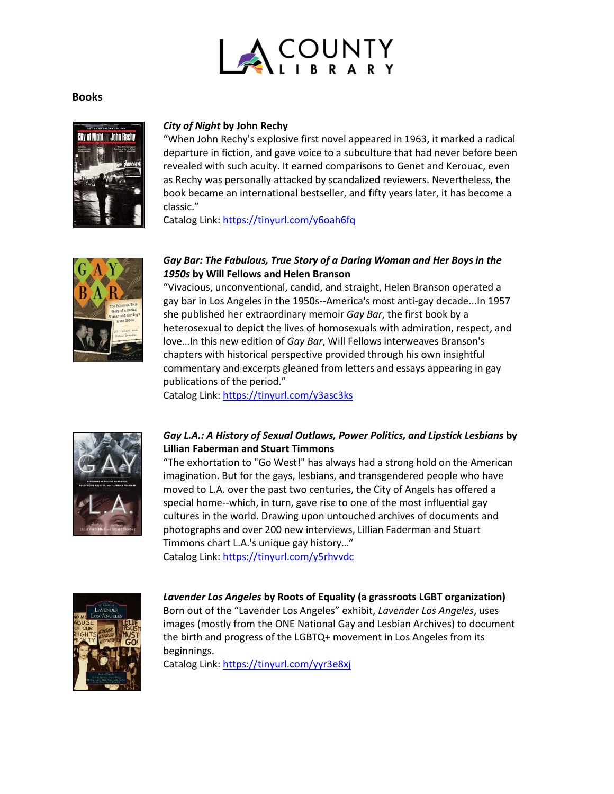

## **Books**



#### *City of Night* **by John Rechy**

"When John Rechy's explosive first novel appeared in 1963, it marked a radical departure in fiction, and gave voice to a subculture that had never before been revealed with such acuity. It earned comparisons to Genet and Kerouac, even as Rechy was personally attacked by scandalized reviewers. Nevertheless, the book became an international bestseller, and fifty years later, it has become a classic."

Catalog Link: <https://tinyurl.com/y6oah6fq>



#### *Gay Bar: The Fabulous, True Story of a Daring Woman and Her Boys in the 1950s* **by Will Fellows and Helen Branson**

"Vivacious, unconventional, candid, and straight, Helen Branson operated a gay bar in Los Angeles in the 1950s--America's most anti-gay decade...In 1957 she published her extraordinary memoir *Gay Bar*, the first book by a heterosexual to depict the lives of homosexuals with admiration, respect, and love…In this new edition of *Gay Bar*, Will Fellows interweaves Branson's chapters with historical perspective provided through his own insightful commentary and excerpts gleaned from letters and essays appearing in gay publications of the period."

Catalog Link: <https://tinyurl.com/y3asc3ks>



## *Gay L.A.: A History of Sexual Outlaws, Power Politics, and Lipstick Lesbians* **by Lillian Faberman and Stuart Timmons**

"The exhortation to "Go West!" has always had a strong hold on the American imagination. But for the gays, lesbians, and transgendered people who have moved to L.A. over the past two centuries, the City of Angels has offered a special home--which, in turn, gave rise to one of the most influential gay cultures in the world. Drawing upon untouched archives of documents and photographs and over 200 new interviews, Lillian Faderman and Stuart Timmons chart L.A.'s unique gay history…" Catalog Link: <https://tinyurl.com/y5rhvvdc>



*Lavender Los Angeles* **by Roots of Equality (a grassroots LGBT organization)** Born out of the "Lavender Los Angeles" exhibit, *Lavender Los Angeles*, uses images (mostly from the ONE National Gay and Lesbian Archives) to document the birth and progress of the LGBTQ+ movement in Los Angeles from its beginnings.

Catalog Link:<https://tinyurl.com/yyr3e8xj>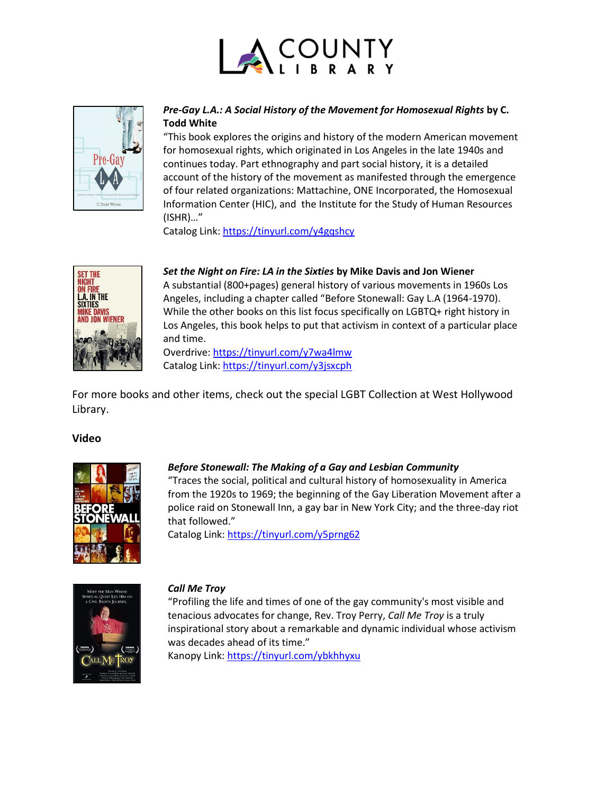



# *Pre-Gay L.A.: A Social History of the Movement for Homosexual Rights* **by C. Todd White**

"This book explores the origins and history of the modern American movement for homosexual rights, which originated in Los Angeles in the late 1940s and continues today. Part ethnography and part social history, it is a detailed account of the history of the movement as manifested through the emergence of four related organizations: Mattachine, ONE Incorporated, the Homosexual Information Center (HIC), and the Institute for the Study of Human Resources (ISHR)…"

Catalog Link:<https://tinyurl.com/y4gqshcy>



## *Set the Night on Fire: LA in the Sixties* **by Mike Davis and Jon Wiener**

A substantial (800+pages) general history of various movements in 1960s Los Angeles, including a chapter called "Before Stonewall: Gay L.A (1964-1970). While the other books on this list focus specifically on LGBTQ+ right history in Los Angeles, this book helps to put that activism in context of a particular place and time.

Overdrive:<https://tinyurl.com/y7wa4lmw> Catalog Link:<https://tinyurl.com/y3jsxcph>

For more books and other items, check out the special LGBT Collection at West Hollywood Library.

# **Video**



# *Before Stonewall: The Making of a Gay and Lesbian Community*

"Traces the social, political and cultural history of homosexuality in America from the 1920s to 1969; the beginning of the Gay Liberation Movement after a police raid on Stonewall Inn, a gay bar in New York City; and the three-day riot that followed."

Catalog Link:<https://tinyurl.com/y5prng62>



### *Call Me Troy*

"Profiling the life and times of one of the gay community's most visible and tenacious advocates for change, Rev. Troy Perry, *Call Me Troy* is a truly inspirational story about a remarkable and dynamic individual whose activism was decades ahead of its time."

Kanopy Link[: https://tinyurl.com/ybkhhyxu](https://tinyurl.com/ybkhhyxu)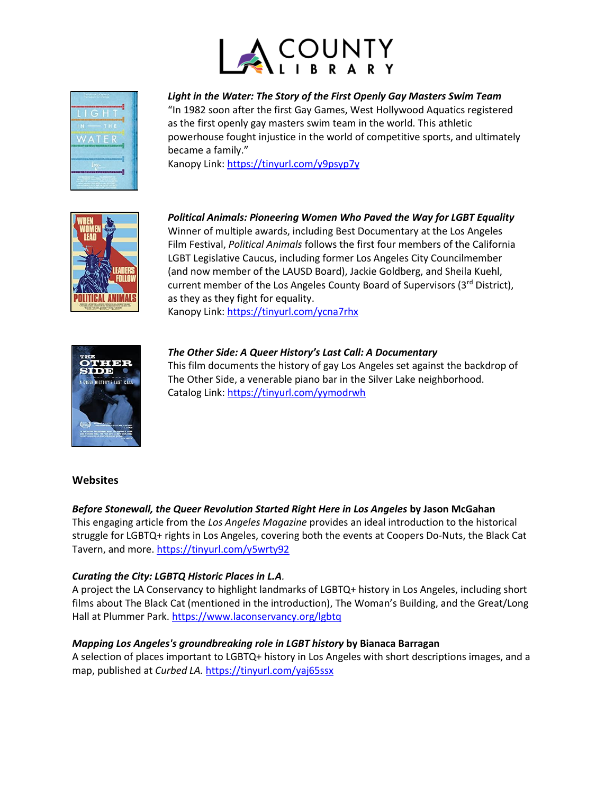



*Light in the Water: The Story of the First Openly Gay Masters Swim Team*

"In 1982 soon after the first Gay Games, West Hollywood Aquatics registered as the first openly gay masters swim team in the world. This athletic powerhouse fought injustice in the world of competitive sports, and ultimately became a family."

Kanopy Link[: https://tinyurl.com/y9psyp7y](https://tinyurl.com/y9psyp7y)



*Political Animals: Pioneering Women Who Paved the Way for LGBT Equality*

Winner of multiple awards, including Best Documentary at the Los Angeles Film Festival, *Political Animals* follows the first four members of the California LGBT Legislative Caucus, including former Los Angeles City Councilmember (and now member of the LAUSD Board), Jackie Goldberg, and Sheila Kuehl, current member of the Los Angeles County Board of Supervisors (3rd District), as they as they fight for equality.

Kanopy Link[: https://tinyurl.com/ycna7rhx](https://tinyurl.com/ycna7rhx) 



*The Other Side: A Queer History's Last Call: A Documentary*

This film documents the history of gay Los Angeles set against the backdrop of The Other Side, a venerable piano bar in the Silver Lake neighborhood. Catalog Link:<https://tinyurl.com/yymodrwh>

### **Websites**

### *Before Stonewall, the Queer Revolution Started Right Here in Los Angeles* **by Jason McGahan**

This engaging article from the *Los Angeles Magazine* provides an ideal introduction to the historical struggle for LGBTQ+ rights in Los Angeles, covering both the events at Coopers Do-Nuts, the Black Cat Tavern, and more[. https://tinyurl.com/y5wrty92](https://tinyurl.com/y5wrty92)

### *Curating the City: LGBTQ Historic Places in L.A.*

A project the LA Conservancy to highlight landmarks of LGBTQ+ history in Los Angeles, including short films about The Black Cat (mentioned in the introduction), The Woman's Building, and the Great/Long Hall at Plummer Park[. https://www.laconservancy.org/lgbtq](https://www.laconservancy.org/lgbtq)

### *Mapping Los Angeles's groundbreaking role in LGBT history* **by Bianaca Barragan**

A selection of places important to LGBTQ+ history in Los Angeles with short descriptions images, and a map, published at *Curbed LA.* <https://tinyurl.com/yaj65ssx>